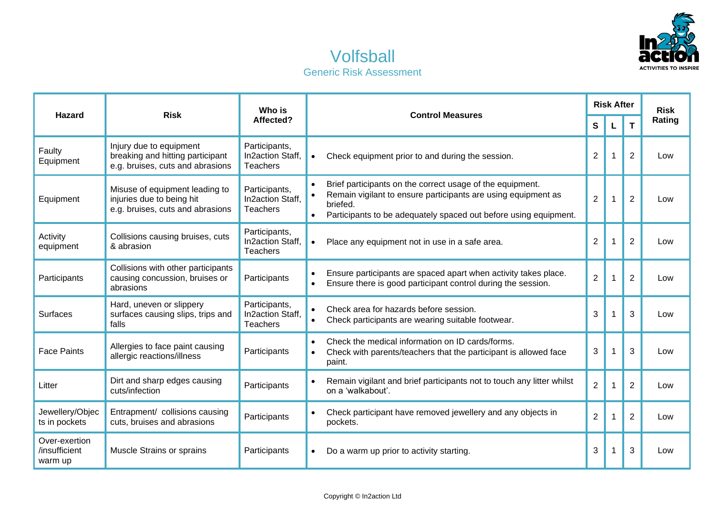

## Volfsball Generic Risk Assessment

| <b>Hazard</b>                             | <b>Risk</b>                                                                                     | Who is<br>Affected?                                  | <b>Control Measures</b> | <b>Risk After</b>                                                                                                                                                                                          |                |   | <b>Risk</b>    |        |
|-------------------------------------------|-------------------------------------------------------------------------------------------------|------------------------------------------------------|-------------------------|------------------------------------------------------------------------------------------------------------------------------------------------------------------------------------------------------------|----------------|---|----------------|--------|
|                                           |                                                                                                 |                                                      |                         |                                                                                                                                                                                                            |                |   | T              | Rating |
| Faulty<br>Equipment                       | Injury due to equipment<br>breaking and hitting participant<br>e.g. bruises, cuts and abrasions | Participants,<br>In2action Staff.<br><b>Teachers</b> |                         | Check equipment prior to and during the session.                                                                                                                                                           | $\overline{2}$ |   | 2              | Low    |
| Equipment                                 | Misuse of equipment leading to<br>injuries due to being hit<br>e.g. bruises, cuts and abrasions | Participants,<br>In2action Staff.<br>Teachers        |                         | Brief participants on the correct usage of the equipment.<br>Remain vigilant to ensure participants are using equipment as<br>briefed.<br>Participants to be adequately spaced out before using equipment. | $\overline{2}$ | 1 | $\overline{2}$ | Low    |
| Activity<br>equipment                     | Collisions causing bruises, cuts<br>& abrasion                                                  | Participants,<br>In2action Staff.<br>Teachers        |                         | Place any equipment not in use in a safe area.                                                                                                                                                             | $\overline{2}$ |   | $\overline{2}$ | Low    |
| Participants                              | Collisions with other participants<br>causing concussion, bruises or<br>abrasions               | Participants                                         |                         | Ensure participants are spaced apart when activity takes place.<br>Ensure there is good participant control during the session.                                                                            | $\overline{2}$ |   | $\overline{2}$ | Low    |
| <b>Surfaces</b>                           | Hard, uneven or slippery<br>surfaces causing slips, trips and<br>falls                          | Participants,<br>In2action Staff,<br>Teachers        |                         | Check area for hazards before session.<br>Check participants are wearing suitable footwear.                                                                                                                | 3              |   | 3              | Low    |
| <b>Face Paints</b>                        | Allergies to face paint causing<br>allergic reactions/illness                                   | Participants                                         | $\bullet$               | Check the medical information on ID cards/forms.<br>Check with parents/teachers that the participant is allowed face<br>paint.                                                                             | 3              |   | 3              | Low    |
| Litter                                    | Dirt and sharp edges causing<br>cuts/infection                                                  | Participants                                         |                         | Remain vigilant and brief participants not to touch any litter whilst<br>on a 'walkabout'.                                                                                                                 | $\overline{2}$ |   | $\overline{2}$ | Low    |
| Jewellery/Objec<br>ts in pockets          | Entrapment/ collisions causing<br>cuts, bruises and abrasions                                   | Participants                                         |                         | Check participant have removed jewellery and any objects in<br>pockets.                                                                                                                                    | $\overline{2}$ |   | $\overline{2}$ | Low    |
| Over-exertion<br>/insufficient<br>warm up | Muscle Strains or sprains                                                                       | Participants                                         |                         | Do a warm up prior to activity starting.                                                                                                                                                                   | 3              |   | 3              | Low    |